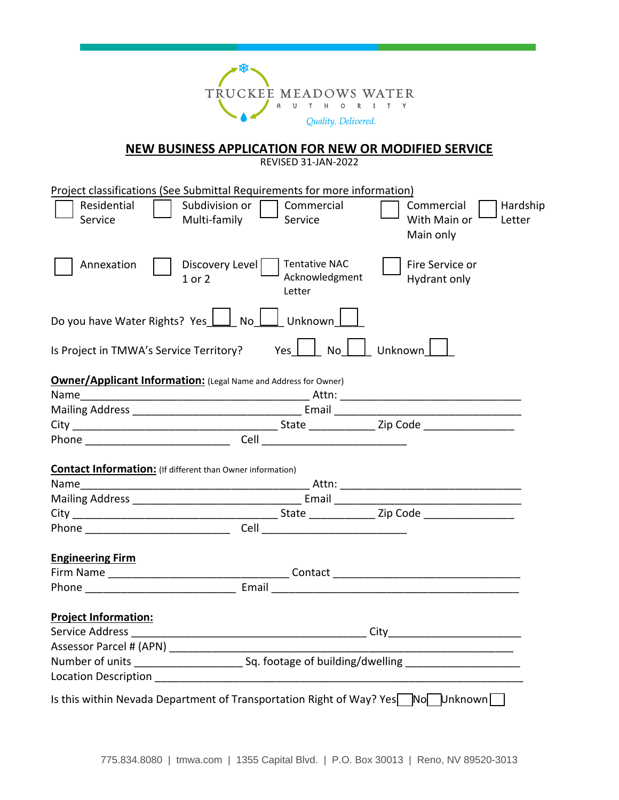

## **NEW BUSINESS APPLICATION FOR NEW OR MODIFIED SERVICE**

REVISED 31-JAN-2022

| Project classifications (See Submittal Requirements for more information)<br>Subdivision or $\Box$<br>Residential | Commercial                                       | Commercial<br>Hardship              |  |
|-------------------------------------------------------------------------------------------------------------------|--------------------------------------------------|-------------------------------------|--|
| Multi-family<br>Service                                                                                           | Service                                          | With Main or<br>Letter<br>Main only |  |
| Discovery Level<br>Annexation<br>$1$ or $2$                                                                       | <b>Tentative NAC</b><br>Acknowledgment<br>Letter | Fire Service or<br>Hydrant only     |  |
| Do you have Water Rights? Yes     No   Junknown                                                                   |                                                  |                                     |  |
| Is Project in TMWA's Service Territory?                                                                           | Yes $ $ $ $                                      | No Unknown                          |  |
| <b>Owner/Applicant Information:</b> (Legal Name and Address for Owner)                                            |                                                  |                                     |  |
|                                                                                                                   |                                                  |                                     |  |
|                                                                                                                   |                                                  |                                     |  |
|                                                                                                                   |                                                  |                                     |  |
|                                                                                                                   |                                                  |                                     |  |
|                                                                                                                   |                                                  |                                     |  |
| <b>Contact Information:</b> (If different than Owner information)                                                 |                                                  |                                     |  |
|                                                                                                                   |                                                  |                                     |  |
|                                                                                                                   |                                                  |                                     |  |
|                                                                                                                   |                                                  |                                     |  |
|                                                                                                                   |                                                  |                                     |  |
|                                                                                                                   |                                                  |                                     |  |
| <b>Engineering Firm</b>                                                                                           |                                                  |                                     |  |
|                                                                                                                   |                                                  |                                     |  |
|                                                                                                                   |                                                  |                                     |  |
| <b>Project Information:</b>                                                                                       |                                                  |                                     |  |
|                                                                                                                   |                                                  |                                     |  |
| Assessor Parcel # (APN) ______________                                                                            |                                                  |                                     |  |
|                                                                                                                   |                                                  |                                     |  |
|                                                                                                                   |                                                  |                                     |  |
| Is this within Nevada Department of Transportation Right of Way? Yes <sup>No</sup> NoNhanown                      |                                                  |                                     |  |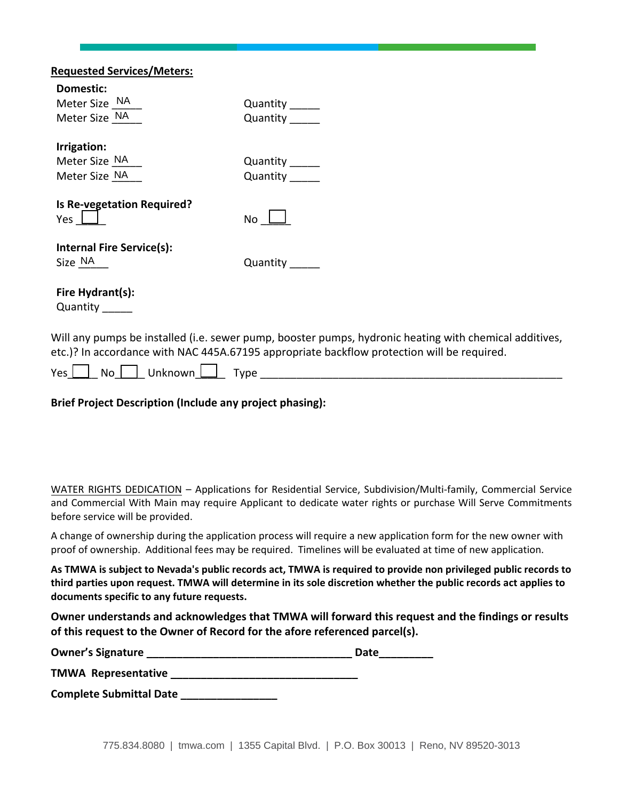| <b>Requested Services/Meters:</b> |                                                                                                                                                                                                      |
|-----------------------------------|------------------------------------------------------------------------------------------------------------------------------------------------------------------------------------------------------|
| Domestic:                         |                                                                                                                                                                                                      |
| Meter Size NA                     | Quantity ______                                                                                                                                                                                      |
| Meter Size NA                     | Quantity                                                                                                                                                                                             |
| Irrigation:                       |                                                                                                                                                                                                      |
| Meter Size NA                     | Quantity ______                                                                                                                                                                                      |
| Meter Size NA                     | Quantity                                                                                                                                                                                             |
| Is Re-vegetation Required?        |                                                                                                                                                                                                      |
| Yes $\Box$                        | No l                                                                                                                                                                                                 |
| <b>Internal Fire Service(s):</b>  |                                                                                                                                                                                                      |
| Size NA                           | Quantity                                                                                                                                                                                             |
| Fire Hydrant(s):                  |                                                                                                                                                                                                      |
| Quantity ______                   |                                                                                                                                                                                                      |
|                                   | Will any pumps be installed (i.e. sewer pump, booster pumps, hydronic heating with chemical additives,<br>etc.)? In accordance with NAC 445A.67195 appropriate backflow protection will be required. |
| No   Unknown   J<br>Yes [         | Type                                                                                                                                                                                                 |

**Brief Project Description (Include any project phasing):**

WATER RIGHTS DEDICATION – Applications for Residential Service, Subdivision/Multi-family, Commercial Service and Commercial With Main may require Applicant to dedicate water rights or purchase Will Serve Commitments before service will be provided.

A change of ownership during the application process will require a new application form for the new owner with proof of ownership. Additional fees may be required. Timelines will be evaluated at time of new application.

As TMWA is subject to Nevada's public records act, TMWA is required to provide non privileged public records to third parties upon request. TMWA will determine in its sole discretion whether the public records act applies to **documents specific to any future requests.**

**Owner understands and acknowledges that TMWA will forward this request and the findings or results of this request to the Owner of Record for the afore referenced parcel(s).** 

| <b>Owner's Signature</b>   | Date |
|----------------------------|------|
| <b>TMWA Representative</b> |      |

**Complete Submittal Date \_\_\_\_\_\_\_\_\_\_\_\_\_\_\_\_**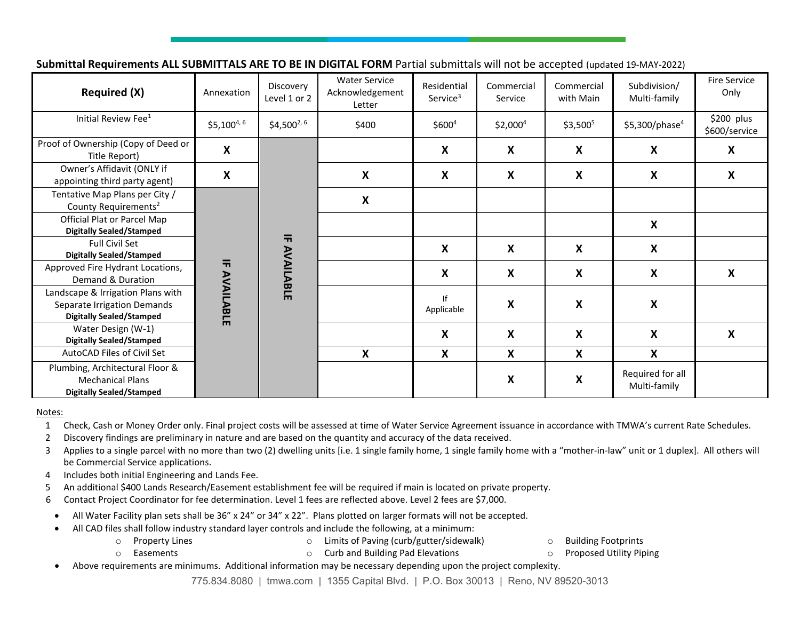**Submittal Requirements ALL SUBMITTALS ARE TO BE IN DIGITAL FORM** Partial submittals will not be accepted (updated 19-MAY-2022)

| <b>Required (X)</b>                                                                                 | Annexation     | Discovery<br>Level 1 or 2            | <b>Water Service</b><br>Acknowledgement<br>Letter | Residential<br>Service <sup>3</sup> | Commercial<br>Service     | Commercial<br>with Main   | Subdivision/<br>Multi-family     | <b>Fire Service</b><br>Only |
|-----------------------------------------------------------------------------------------------------|----------------|--------------------------------------|---------------------------------------------------|-------------------------------------|---------------------------|---------------------------|----------------------------------|-----------------------------|
| Initial Review Fee <sup>1</sup>                                                                     | $$5,100^{4,6}$ | $$4,500^{2,6}$                       | \$400                                             | \$600 <sup>4</sup>                  | $$2,000^4$                | $$3,500^5$                | $$5,300$ /phase <sup>4</sup>     | \$200 plus<br>\$600/service |
| Proof of Ownership (Copy of Deed or<br>Title Report)                                                | X              |                                      |                                                   | X                                   | $\boldsymbol{\mathsf{X}}$ | $\boldsymbol{\mathsf{X}}$ | X                                | X                           |
| Owner's Affidavit (ONLY if<br>appointing third party agent)                                         | X              |                                      | $\boldsymbol{\mathsf{X}}$                         | $\boldsymbol{\mathsf{X}}$           | X                         | X                         | X                                | X                           |
| Tentative Map Plans per City /<br>County Requirements <sup>2</sup>                                  |                |                                      | $\boldsymbol{\mathsf{X}}$                         |                                     |                           |                           |                                  |                             |
| Official Plat or Parcel Map<br><b>Digitally Sealed/Stamped</b>                                      |                | $\overline{\mathbf{h}}$<br>AVAILABLE |                                                   |                                     |                           |                           | X                                |                             |
| Full Civil Set<br><b>Digitally Sealed/Stamped</b>                                                   |                |                                      |                                                   | X                                   | X                         | X                         | X                                |                             |
| Approved Fire Hydrant Locations,<br>Demand & Duration                                               |                |                                      |                                                   | $\boldsymbol{\mathsf{X}}$           | $\boldsymbol{\mathsf{X}}$ | $\boldsymbol{\mathsf{x}}$ | X                                | X                           |
| Landscape & Irrigation Plans with<br>Separate Irrigation Demands<br><b>Digitally Sealed/Stamped</b> | IF AVAILABLE   |                                      |                                                   | If<br>Applicable                    | X                         | $\boldsymbol{\mathsf{x}}$ | X                                |                             |
| Water Design (W-1)<br><b>Digitally Sealed/Stamped</b>                                               |                |                                      |                                                   | X                                   | X                         | X                         | X                                | X                           |
| AutoCAD Files of Civil Set                                                                          |                |                                      | X                                                 | X                                   | X                         | $\boldsymbol{\mathsf{X}}$ | X                                |                             |
| Plumbing, Architectural Floor &<br><b>Mechanical Plans</b><br><b>Digitally Sealed/Stamped</b>       |                |                                      |                                                   |                                     | X                         | $\boldsymbol{\mathsf{x}}$ | Required for all<br>Multi-family |                             |

## Notes:

1 Check, Cash or Money Order only. Final project costs will be assessed at time of Water Service Agreement issuance in accordance with TMWA's current Rate Schedules.

2 Discovery findings are preliminary in nature and are based on the quantity and accuracy of the data received.

3 Applies to a single parcel with no more than two (2) dwelling units [i.e. 1 single family home, 1 single family home with a "mother-in-law" unit or 1 duplex]. All others will be Commercial Service applications.

- 4 Includes both initial Engineering and Lands Fee.
- 5 An additional \$400 Lands Research/Easement establishment fee will be required if main is located on private property.
- 6 Contact Project Coordinator for fee determination. Level 1 fees are reflected above. Level 2 fees are \$7,000.
- All Water Facility plan sets shall be 36" x 24" or 34" x 22". Plans plotted on larger formats will not be accepted.
- All CAD files shall follow industry standard layer controls and include the following, at a minimum:
	-
	- o Property Lines o Limits of Paving (curb/gutter/sidewalk) o Building Footprints
		-
- 
- o Easements o Curb and Building Pad Elevations o Proposed Utility Piping
- Above requirements are minimums. Additional information may be necessary depending upon the project complexity.